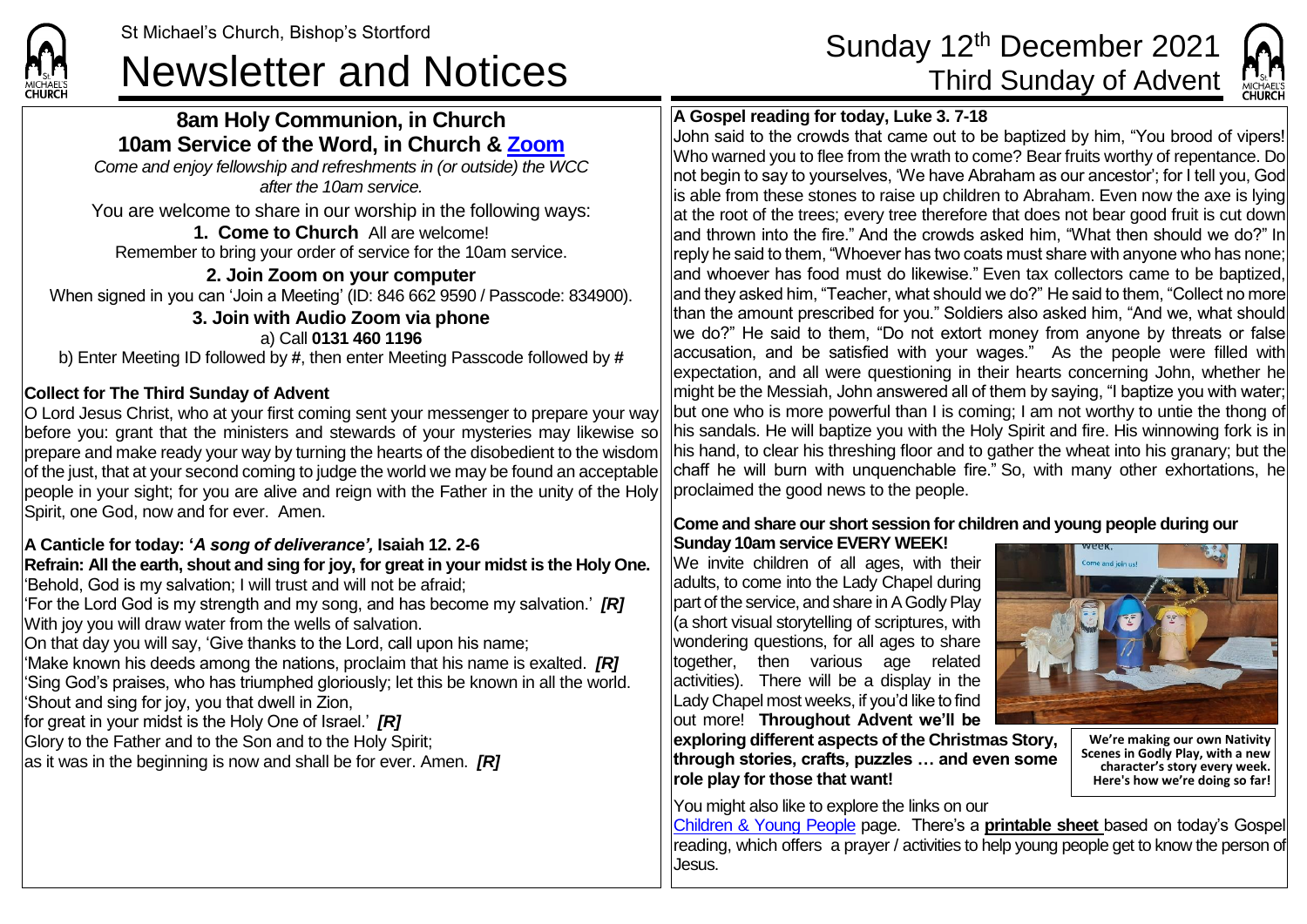# **8am Holy Communion, in Church 10am Service of the Word, in Church & [Zoom](https://zoom.us/)**

*Come and enjoy fellowship and refreshments in (or outside) the WCC after the 10am service.*

You are welcome to share in our worship in the following ways:

**1. Come to Church** All are welcome! Remember to bring your order of service for the 10am service.

**2. Join Zoom on your computer** When signed in you can 'Join a Meeting' (ID: 846 662 9590 / Passcode: 834900). **3. Join with Audio Zoom via phone** a) Call **0131 460 1196** b) Enter Meeting ID followed by **#**, then enter Meeting Passcode followed by **#**

# **Collect for The Third Sunday of Advent**

**CHURCH** 

O Lord Jesus Christ, who at your first coming sent your messenger to prepare your way before you: grant that the ministers and stewards of your mysteries may likewise so prepare and make ready your way by turning the hearts of the disobedient to the wisdom of the just, that at your second coming to judge the world we may be found an acceptable people in your sight; for you are alive and reign with the Father in the unity of the Holy Spirit, one God, now and for ever. Amen.

## **A Canticle for today: '***A song of deliverance',* **Isaiah 12. 2-6**

**Refrain: All the earth, shout and sing for joy, for great in your midst is the Holy One.** 'Behold, God is my salvation; I will trust and will not be afraid;

'For the Lord God is my strength and my song, and has become my salvation.' *[R]* With joy you will draw water from the wells of salvation.

On that day you will say, 'Give thanks to the Lord, call upon his name;

'Make known his deeds among the nations, proclaim that his name is exalted. *[R]* 'Sing God's praises, who has triumphed gloriously; let this be known in all the world. 'Shout and sing for joy, you that dwell in Zion,

for great in your midst is the Holy One of Israel.' *[R]*

Glory to the Father and to the Son and to the Holy Spirit;

as it was in the beginning is now and shall be for ever. Amen. *[R]*

# St Michael's Church, Bishop's Stortford Sunday 12<sup>th</sup> December 2021<br> **Newsletter and Notices** Third Sunday of Advent



# **A Gospel reading for today, Luke 3. 7-18**

John said to the crowds that came out to be baptized by him, "You brood of vipers! Who warned you to flee from the wrath to come? Bear fruits worthy of repentance. Do not begin to say to yourselves, 'We have Abraham as our ancestor'; for I tell you, God is able from these stones to raise up children to Abraham. Even now the axe is lying at the root of the trees; every tree therefore that does not bear good fruit is cut down and thrown into the fire." And the crowds asked him, "What then should we do?" In reply he said to them, "Whoever has two coats must share with anyone who has none; and whoever has food must do likewise." Even tax collectors came to be baptized, and they asked him, "Teacher, what should we do?" He said to them, "Collect no more than the amount prescribed for you." Soldiers also asked him, "And we, what should we do?" He said to them, "Do not extort money from anyone by threats or false  $|accusation$ , and be satisfied with your wages. $n$  As the people were filled with expectation, and all were questioning in their hearts concerning John, whether he might be the Messiah, John answered all of them by saying, "I baptize you with water; but one who is more powerful than I is coming; I am not worthy to untie the thong of his sandals. He will baptize you with the Holy Spirit and fire. His winnowing fork is in his hand, to clear his threshing floor and to gather the wheat into his granary; but the chaff he will burn with unquenchable fire." So, with many other exhortations, he proclaimed the good news to the people.

### **Come and share our short session for children and young people during our Sunday 10am service EVERY WEEK!**

We invite children of all ages, with their adults, to come into the Lady Chapel during part of the service, and share in A Godly Play (a short visual storytelling of scriptures, with wondering questions, for all ages to share together, then various age related activities). There will be a display in the Lady Chapel most weeks, if you'd like to find out more! **Throughout Advent we'll be** 



**We're making our own Nativity Scenes in Godly Play, with a new character's story every week. Here's how we're doing so far!** 

**exploring different aspects of the Christmas Story, through stories, crafts, puzzles … and even some role play for those that want!**

You might also like to explore the links on our

[Children & Young People](https://saintmichaelweb.org.uk/Groups/310496/Children_and_Young.aspx) page. There's a **[printable sheet](https://saintmichaelweb.org.uk/Groups/310496/Children_and_Young.aspx)** based on today's Gospel reading, which offers a prayer / activities to help young people get to know the person of Jesus.